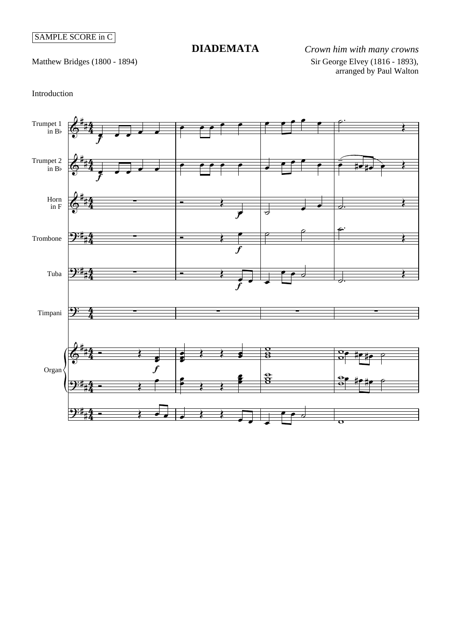## **DIADEMATA**

Matthew Bridges (1800 - 1894)

*Crown him with many crowns* Sir George Elvey (1816 - 1893), arranged by Paul Walton

## Introduction

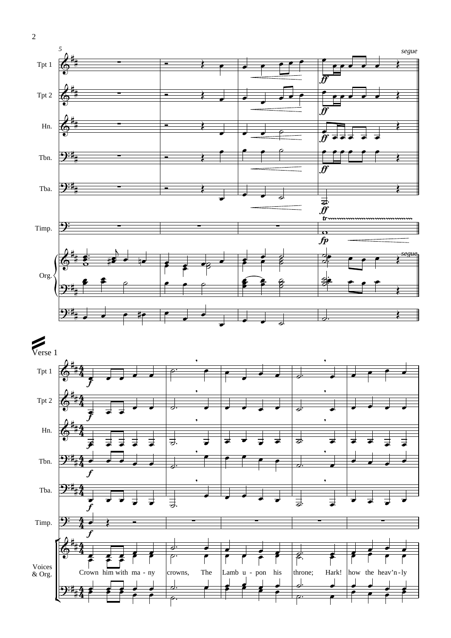



 $\overline{\phantom{0}}$ 

 $\begin{array}{|c|c|c|c|c|c|}\n\hline\n\text{\textit{--}} & \text{\textit{--}} & \text{\textit{--}} & \text{\textit{--}} & \text{\textit{--}} \\
\hline\n\text{\textit{--}} & \text{\textit{--}} & \text{\textit{--}} & \text{\textit{--}} & \text{\textit{--}} \\
\hline\n\text{\textit{--}} & \text{\textit{--}} & \text{\textit{--}} & \text{\textit{--}} & \text{\textit{--}} & \text{\textit{--}} \\
\hline\n\text{\textit{--}} & \text{\textit{--}} & \text{\textit{--}} & \text{\textit{--}} & \text{\text$ 

 $\overline{\phantom{0}}$ 

 $\overline{\phantom{a}}$ 

 $\overrightarrow{a}$ 

4  $\frac{4}{4}$ 

f

 $\begin{array}{c|c|c|c|c} \hline \bullet & \bullet & \bullet & \bullet \end{array}$ 

)∺‡

Tbn.

Tba.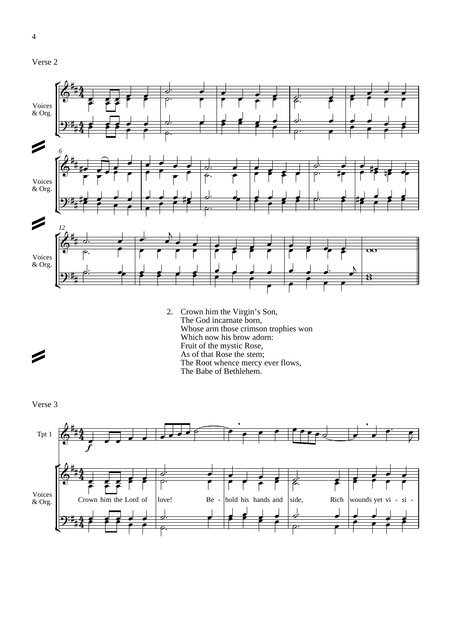

2. Crown him the Virgin's Son, The God incarnate born, Whose arm those crimson trophies won Which now his brow adorn: Fruit of the mystic Rose, As of that Rose the stem; The Root whence mercy ever flows, The Babe of Bethlehem.



 $\overline{\phantom{a}}$ 

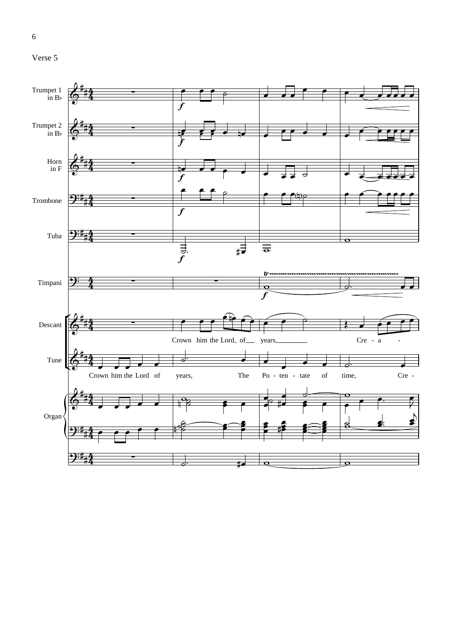

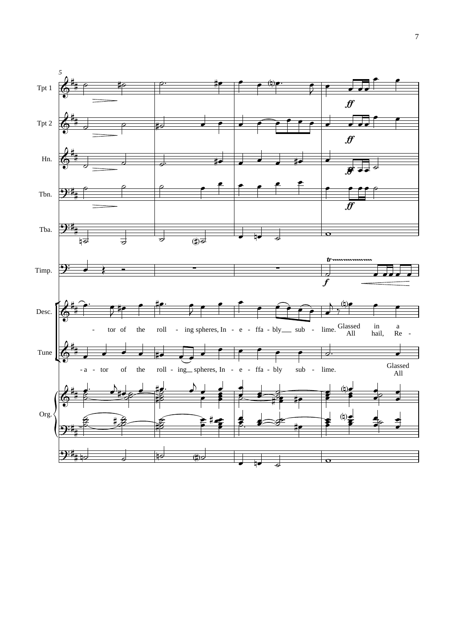